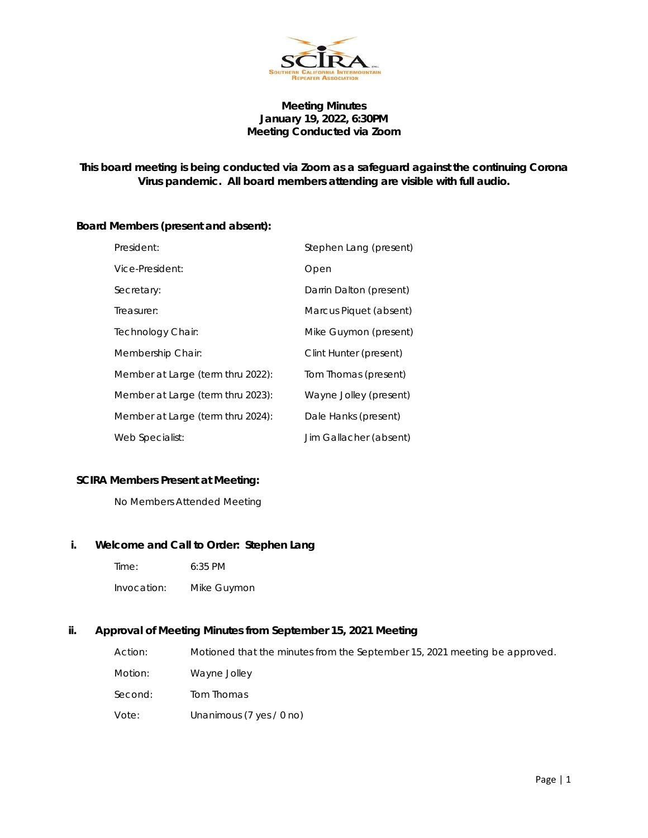

# **Meeting Minutes January 19, 2022, 6:30PM Meeting Conducted via Zoom**

# **This board meeting is being conducted via Zoom as a safeguard against the continuing Corona Virus pandemic. All board members attending are visible with full audio.**

## **Board Members (present and absent):**

| President:                        | Stephen Lang (present)  |
|-----------------------------------|-------------------------|
| Vice-President:                   | Open                    |
| Secretary:                        | Darrin Dalton (present) |
| Treasurer:                        | Marcus Piquet (absent)  |
| Technology Chair:                 | Mike Guymon (present)   |
| Membership Chair:                 | Clint Hunter (present)  |
| Member at Large (term thru 2022): | Tom Thomas (present)    |
| Member at Large (term thru 2023): | Wayne Jolley (present)  |
| Member at Large (term thru 2024): | Dale Hanks (present)    |
| Web Specialist:                   | Jim Gallacher (absent)  |

# **SCIRA Members Present at Meeting:**

No Members Attended Meeting

### **i. Welcome and Call to Order: Stephen Lang**

- Time: 6:35 PM
- Invocation: Mike Guymon

### **ii. Approval of Meeting Minutes from September 15, 2021 Meeting**

| Action: | Motioned that the minutes from the September 15, 2021 meeting be approved. |
|---------|----------------------------------------------------------------------------|
| Motion: | Wayne Jolley                                                               |
| Second: | Tom Thomas                                                                 |
| Vote:   | Unanimous (7 yes / 0 no)                                                   |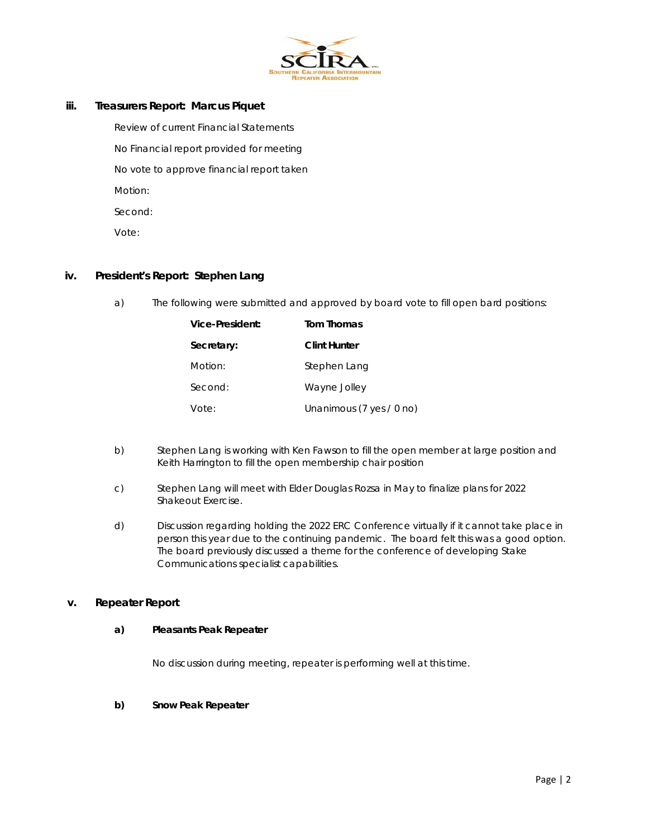

## **iii. Treasurers Report: Marcus Piquet**

Review of current Financial Statements No Financial report provided for meeting No vote to approve financial report taken Motion: Second: Vote:

### **iv. President's Report: Stephen Lang**

a) The following were submitted and approved by board vote to fill open bard positions:

| Vice-President: | <b>Tom Thomas</b>        |
|-----------------|--------------------------|
| Secretary:      | <b>Clint Hunter</b>      |
| Motion:         | Stephen Lang             |
| Second:         | Wayne Jolley             |
| Vote:           | Unanimous (7 yes / 0 no) |

- b) Stephen Lang is working with Ken Fawson to fill the open member at large position and Keith Harrington to fill the open membership chair position
- c) Stephen Lang will meet with Elder Douglas Rozsa in May to finalize plans for 2022 Shakeout Exercise.
- d) Discussion regarding holding the 2022 ERC Conference virtually if it cannot take place in person this year due to the continuing pandemic. The board felt this was a good option. The board previously discussed a theme for the conference of developing Stake Communications specialist capabilities.

### **v. Repeater Report**

#### **a) Pleasants Peak Repeater**

No discussion during meeting, repeater is performing well at this time.

## **b) Snow Peak Repeater**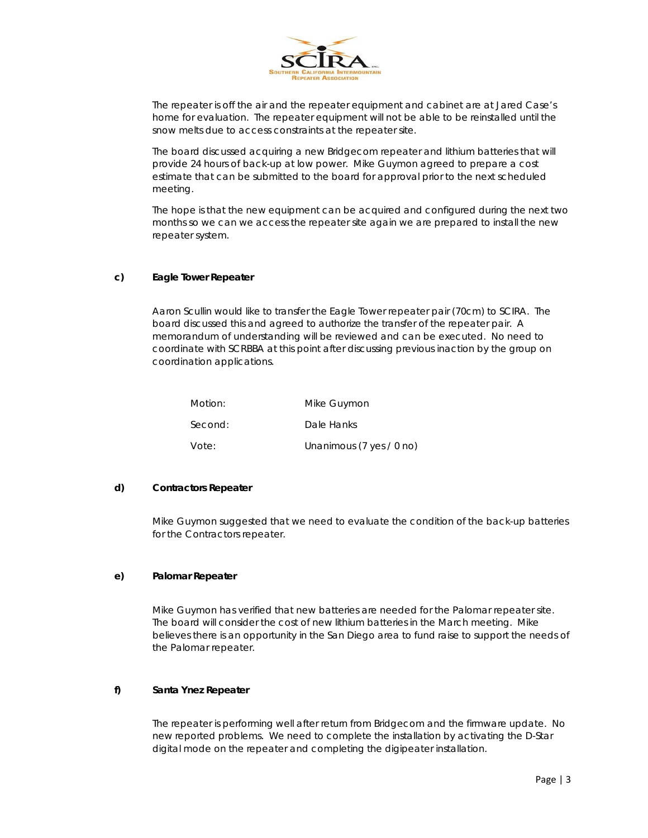

The repeater is off the air and the repeater equipment and cabinet are at Jared Case's home for evaluation. The repeater equipment will not be able to be reinstalled until the snow melts due to access constraints at the repeater site.

The board discussed acquiring a new Bridgecom repeater and lithium batteries that will provide 24 hours of back-up at low power. Mike Guymon agreed to prepare a cost estimate that can be submitted to the board for approval prior to the next scheduled meeting.

The hope is that the new equipment can be acquired and configured during the next two months so we can we access the repeater site again we are prepared to install the new repeater system.

#### **c) Eagle Tower Repeater**

Aaron Scullin would like to transfer the Eagle Tower repeater pair (70cm) to SCIRA. The board discussed this and agreed to authorize the transfer of the repeater pair. A memorandum of understanding will be reviewed and can be executed. No need to coordinate with SCRBBA at this point after discussing previous inaction by the group on coordination applications.

| Motion: | Mike Guymon              |
|---------|--------------------------|
| Second: | Dale Hanks               |
| Vote:   | Unanimous (7 yes / 0 no) |

### **d) Contractors Repeater**

Mike Guymon suggested that we need to evaluate the condition of the back-up batteries for the Contractors repeater.

#### **e) Palomar Repeater**

Mike Guymon has verified that new batteries are needed for the Palomar repeater site. The board will consider the cost of new lithium batteries in the March meeting. Mike believes there is an opportunity in the San Diego area to fund raise to support the needs of the Palomar repeater.

#### **f) Santa Ynez Repeater**

The repeater is performing well after return from Bridgecom and the firmware update. No new reported problems. We need to complete the installation by activating the D-Star digital mode on the repeater and completing the digipeater installation.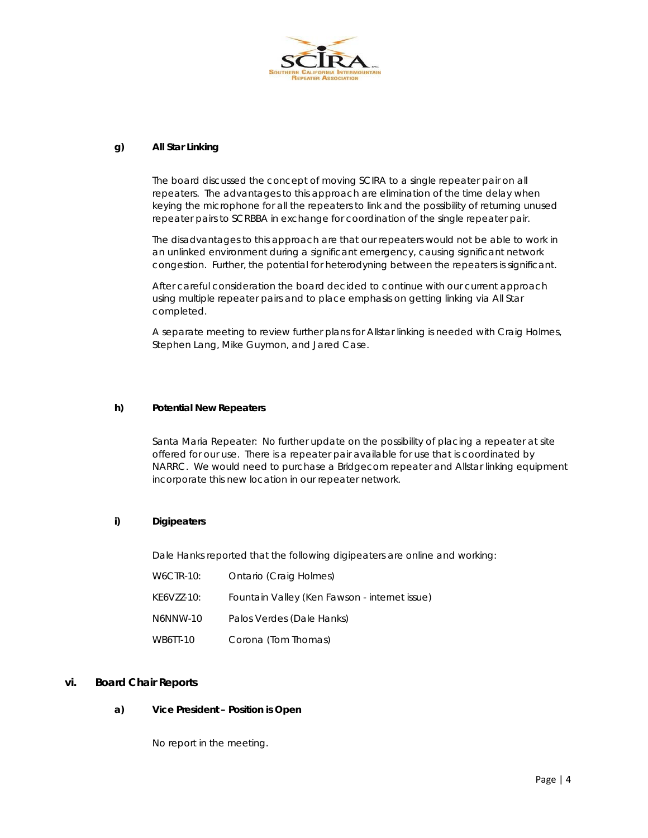

#### **g) All Star Linking**

The board discussed the concept of moving SCIRA to a single repeater pair on all repeaters. The advantages to this approach are elimination of the time delay when keying the microphone for all the repeaters to link and the possibility of returning unused repeater pairs to SCRBBA in exchange for coordination of the single repeater pair.

The disadvantages to this approach are that our repeaters would not be able to work in an unlinked environment during a significant emergency, causing significant network congestion. Further, the potential for heterodyning between the repeaters is significant.

After careful consideration the board decided to continue with our current approach using multiple repeater pairs and to place emphasis on getting linking via All Star completed.

A separate meeting to review further plans for Allstar linking is needed with Craig Holmes, Stephen Lang, Mike Guymon, and Jared Case.

#### **h) Potential New Repeaters**

Santa Maria Repeater: No further update on the possibility of placing a repeater at site offered for our use. There is a repeater pair available for use that is coordinated by NARRC. We would need to purchase a Bridgecom repeater and Allstar linking equipment incorporate this new location in our repeater network.

## **i) Digipeaters**

Dale Hanks reported that the following digipeaters are online and working:

| W6CTR-10:  | Ontario (Craig Holmes)                        |
|------------|-----------------------------------------------|
| KE6VZZ-10: | Fountain Valley (Ken Fawson - internet issue) |
| N6NNW-10   | Palos Verdes (Dale Hanks)                     |
| WB6TT-10   | Corona (Tom Thomas)                           |

### **vi. Board Chair Reports**

### **a) Vice President – Position is Open**

No report in the meeting.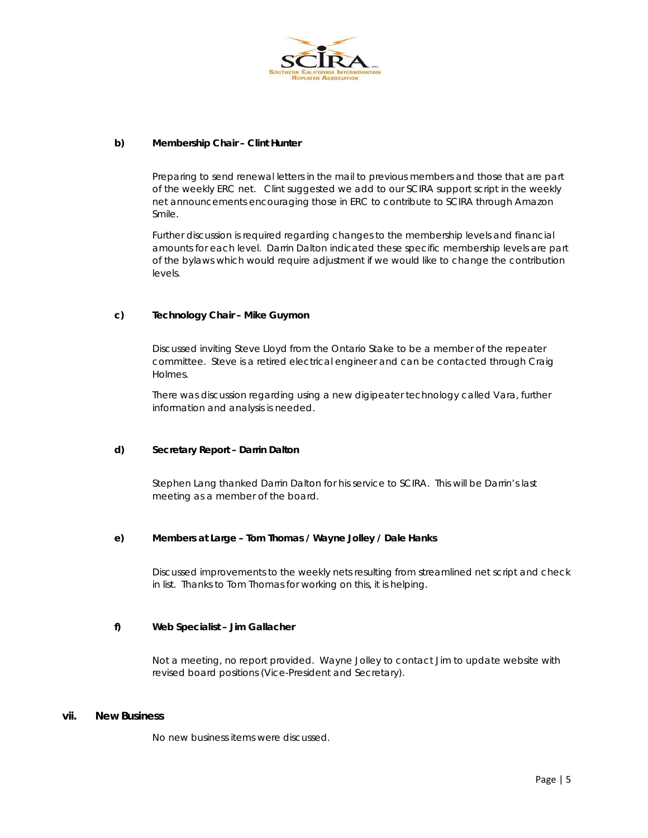

#### **b) Membership Chair – Clint Hunter**

Preparing to send renewal letters in the mail to previous members and those that are part of the weekly ERC net. Clint suggested we add to our SCIRA support script in the weekly net announcements encouraging those in ERC to contribute to SCIRA through Amazon Smile.

Further discussion is required regarding changes to the membership levels and financial amounts for each level. Darrin Dalton indicated these specific membership levels are part of the bylaws which would require adjustment if we would like to change the contribution levels.

#### **c) Technology Chair – Mike Guymon**

Discussed inviting Steve Lloyd from the Ontario Stake to be a member of the repeater committee. Steve is a retired electrical engineer and can be contacted through Craig Holmes.

There was discussion regarding using a new digipeater technology called Vara, further information and analysis is needed.

#### **d) Secretary Report – Darrin Dalton**

Stephen Lang thanked Darrin Dalton for his service to SCIRA. This will be Darrin's last meeting as a member of the board.

### **e) Members at Large – Tom Thomas / Wayne Jolley / Dale Hanks**

Discussed improvements to the weekly nets resulting from streamlined net script and check in list. Thanks to Tom Thomas for working on this, it is helping.

#### **f) Web Specialist – Jim Gallacher**

Not a meeting, no report provided. Wayne Jolley to contact Jim to update website with revised board positions (Vice-President and Secretary).

#### **vii. New Business**

No new business items were discussed.